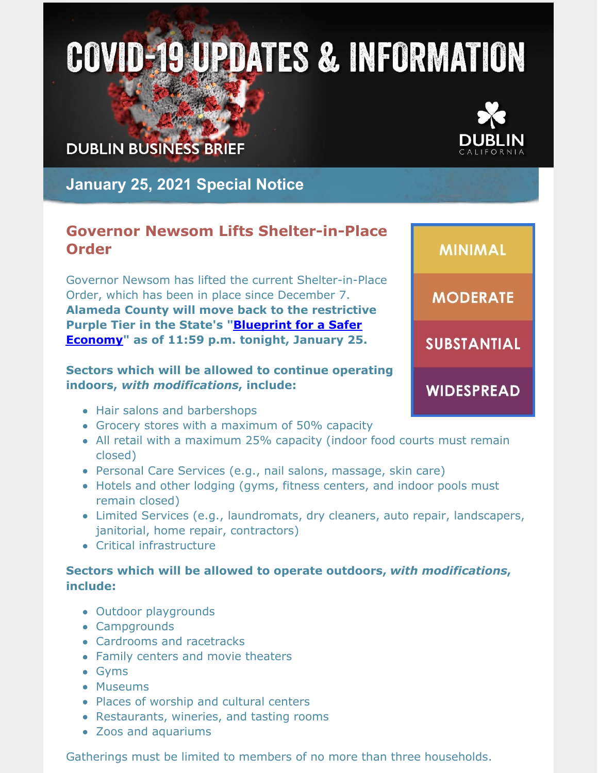# **COVID-19 UPDATES & INFORMATION**

## **DUBLIN BUSINESS BRIEF**



**January 25, 2021 Special Notice**

### **Governor Newsom Lifts Shelter-in-Place Order**

Governor Newsom has lifted the current Shelter-in-Place Order, which has been in place since December 7. **Alameda County will move back to the restrictive Purple Tier in the State's ["Blueprint](https://covid19.ca.gov/safer-economy/) for a Safer Economy" as of 11:59 p.m. tonight, January 25.**

#### **Sectors which will be allowed to continue operating indoors,** *with modifications***, include:**

- Hair salons and barbershops
- Grocery stores with a maximum of 50% capacity
- All retail with a maximum 25% capacity (indoor food courts must remain closed)
- Personal Care Services (e.g., nail salons, massage, skin care)
- Hotels and other lodging (gyms, fitness centers, and indoor pools must remain closed)
- Limited Services (e.g., laundromats, dry cleaners, auto repair, landscapers, janitorial, home repair, contractors)
- Critical infrastructure

#### **Sectors which will be allowed to operate outdoors,** *with modifications***, include:**

- Outdoor playgrounds
- Campgrounds
- Cardrooms and racetracks
- Family centers and movie theaters
- Gyms
- Museums
- Places of worship and cultural centers
- Restaurants, wineries, and tasting rooms
- Zoos and aquariums

Gatherings must be limited to members of no more than three households.

**MINIMAL MODERATE SUBSTANTIAL WIDESPREAD**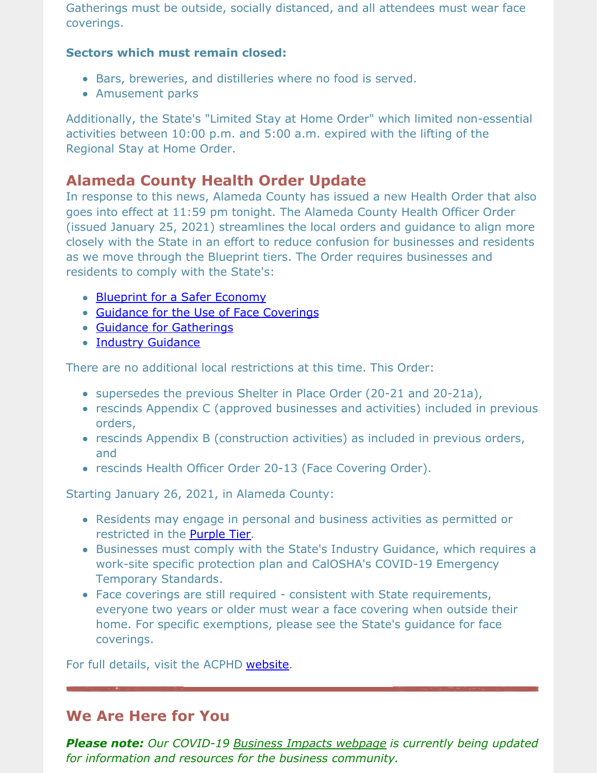Gatherings must be outside, socially distanced, and all attendees must wear face coverings.

#### **Sectors which must remain closed:**

- Bars, breweries, and distilleries where no food is served.
- Amusement parks

Additionally, the State's "Limited Stay at Home Order" which limited non-essential activities between 10:00 p.m. and 5:00 a.m. expired with the lifting of the Regional Stay at Home Order.

## **Alameda County Health Order Update**

In response to this news, Alameda County has issued a new Health Order that also goes into effect at 11:59 pm tonight. The Alameda County Health Officer Order (issued January 25, 2021) streamlines the local orders and guidance to align more closely with the State in an effort to reduce confusion for businesses and residents as we move through the Blueprint tiers. The Order requires businesses and residents to comply with the State's:

- [Blueprint](https://covid19.ca.gov/safer-economy/) for a Safer Economy
- Guidance for the Use of Face [Coverings](https://www.cdph.ca.gov/Programs/CID/DCDC/Pages/COVID-19/guidance-for-face-coverings.aspx)
- Guidance for [Gatherings](https://www.cdph.ca.gov/Programs/CID/DCDC/Pages/COVID-19/Guidance-for-the-Prevention-of-COVID-19-Transmission-for-Gatherings-November-2020.aspx)
- Industry [Guidance](https://covid19.ca.gov/industry-guidance/)

There are no additional local restrictions at this time. This Order:

- supersedes the previous Shelter in Place Order (20-21 and 20-21a),
- rescinds Appendix C (approved businesses and activities) included in previous orders,
- rescinds Appendix B (construction activities) as included in previous orders, and
- rescinds Health Officer Order 20-13 (Face Covering Order).

Starting January 26, 2021, in Alameda County:

- Residents may engage in personal and business activities as permitted or restricted in the [Purple](https://covid19.ca.gov/safer-economy/) Tier.
- Businesses must comply with the State's Industry Guidance, which requires a work-site specific protection plan and CalOSHA's COVID-19 Emergency Temporary Standards.
- Face coverings are still required consistent with State requirements, everyone two years or older must wear a face covering when outside their home. For specific exemptions, please see the State's guidance for face coverings.

For full details, visit the ACPHD [website](https://covid-19.acgov.org/sip.page?).

## **We Are Here for You**

*Please note: Our COVID-19 Business Impacts [webpage](https://www.dublin.ca.gov/2177/COVID-19-Business-Impacts) is currently being updated for information and resources for the business community.*